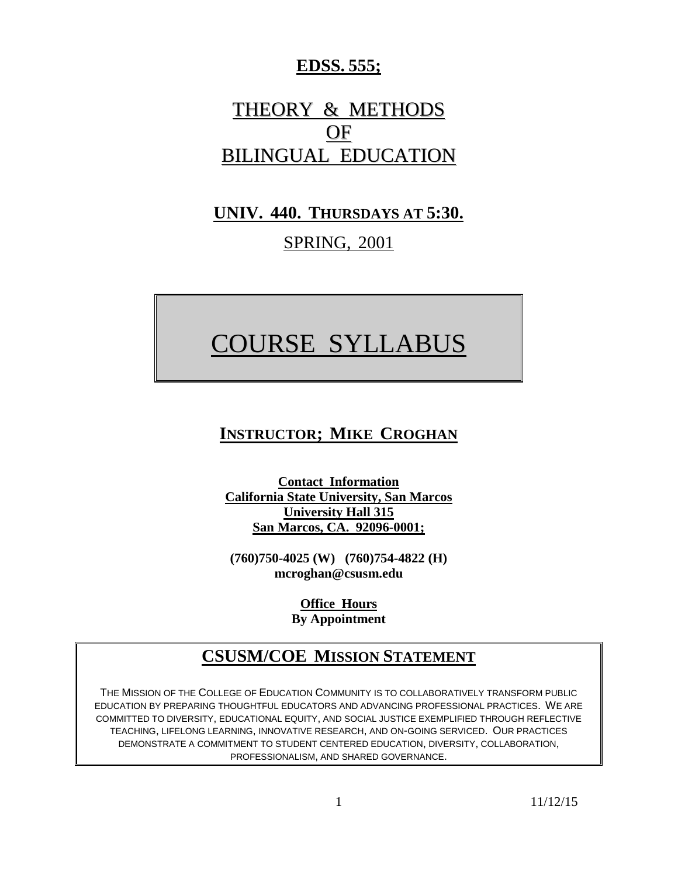## **EDSS. 555;**

# THEORY & METHODS OF BILINGUAL EDUCATION

# **UNIV. 440. THURSDAYS AT 5:30.**

## SPRING, 2001

# COURSE SYLLABUS

# **INSTRUCTOR; MIKE CROGHAN**

**Contact Information California State University, San Marcos University Hall 315 San Marcos, CA. 92096-0001;**

**(760)750-4025 (W) (760)754-4822 (H) mcroghan@csusm.edu**

> **Office Hours By Appointment**

# **CSUSM/COE MISSION STATEMENT**

THE MISSION OF THE COLLEGE OF EDUCATION COMMUNITY IS TO COLLABORATIVELY TRANSFORM PUBLIC EDUCATION BY PREPARING THOUGHTFUL EDUCATORS AND ADVANCING PROFESSIONAL PRACTICES. WE ARE COMMITTED TO DIVERSITY, EDUCATIONAL EQUITY, AND SOCIAL JUSTICE EXEMPLIFIED THROUGH REFLECTIVE TEACHING, LIFELONG LEARNING, INNOVATIVE RESEARCH, AND ON-GOING SERVICED. OUR PRACTICES DEMONSTRATE A COMMITMENT TO STUDENT CENTERED EDUCATION, DIVERSITY, COLLABORATION, PROFESSIONALISM, AND SHARED GOVERNANCE.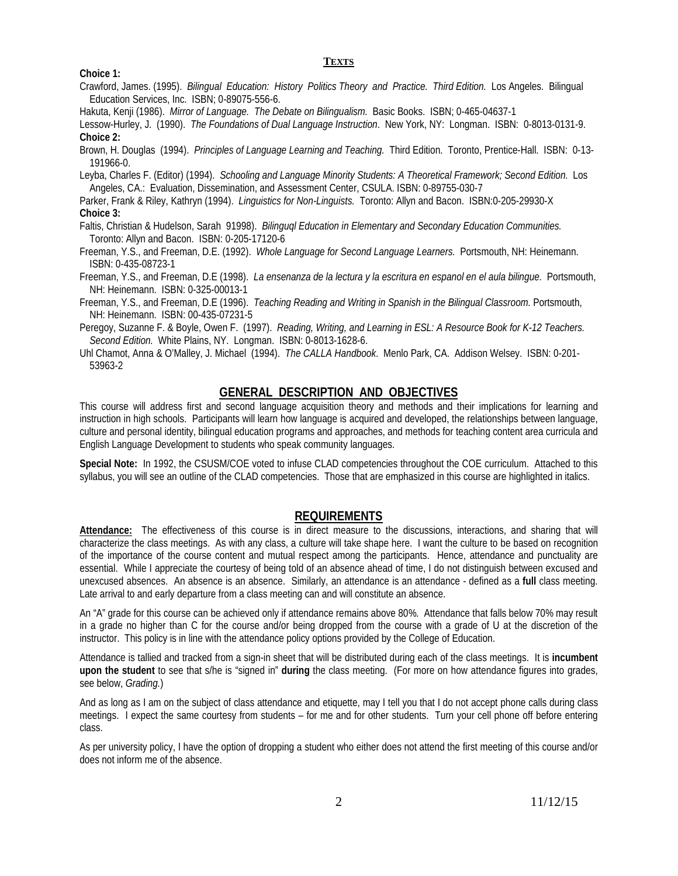#### **TEXTS**

**Choice 1:**

Crawford, James. (1995). *Bilingual Education: History Politics Theory and Practice. Third Edition.* Los Angeles. Bilingual Education Services, Inc. ISBN; 0-89075-556-6.

Hakuta, Kenji (1986). *Mirror of Language. The Debate on Bilingualism.* Basic Books. ISBN; 0-465-04637-1

Lessow-Hurley, J. (1990). *The Foundations of Dual Language Instruction*. New York, NY: Longman. ISBN: 0-8013-0131-9. **Choice 2:**

Brown, H. Douglas (1994). *Principles of Language Learning and Teaching.* Third Edition. Toronto, Prentice-Hall. ISBN: 0-13- 191966-0.

Leyba, Charles F. (Editor) (1994). *Schooling and Language Minority Students: A Theoretical Framework; Second Edition.* Los Angeles, CA.: Evaluation, Dissemination, and Assessment Center, CSULA. ISBN: 0-89755-030-7

Parker, Frank & Riley, Kathryn (1994). *Linguistics for Non-Linguists.* Toronto: Allyn and Bacon. ISBN:0-205-29930-X **Choice 3:**

- Faltis, Christian & Hudelson, Sarah 91998). *Bilinguql Education in Elementary and Secondary Education Communities.* Toronto: Allyn and Bacon. ISBN: 0-205-17120-6
- Freeman, Y.S., and Freeman, D.E. (1992). *Whole Language for Second Language Learners.* Portsmouth, NH: Heinemann. ISBN: 0-435-08723-1
- Freeman, Y.S., and Freeman, D.E (1998). *La ensenanza de la lectura y la escritura en espanol en el aula bilingue.* Portsmouth, NH: Heinemann. ISBN: 0-325-00013-1

Freeman, Y.S., and Freeman, D.E (1996). *Teaching Reading and Writing in Spanish in the Bilingual Classroom.* Portsmouth, NH: Heinemann. ISBN: 00-435-07231-5

Peregoy, Suzanne F. & Boyle, Owen F. (1997). *Reading, Writing, and Learning in ESL: A Resource Book for K-12 Teachers. Second Edition.* White Plains, NY. Longman. ISBN: 0-8013-1628-6.

Uhl Chamot, Anna & O'Malley, J. Michael (1994). *The CALLA Handbook*. Menlo Park, CA. Addison Welsey. ISBN: 0-201- 53963-2

### **GENERAL DESCRIPTION AND OBJECTIVES**

This course will address first and second language acquisition theory and methods and their implications for learning and instruction in high schools. Participants will learn how language is acquired and developed, the relationships between language, culture and personal identity, bilingual education programs and approaches, and methods for teaching content area curricula and English Language Development to students who speak community languages.

**Special Note:** In 1992, the CSUSM/COE voted to infuse CLAD competencies throughout the COE curriculum. Attached to this syllabus, you will see an outline of the CLAD competencies. Those that are emphasized in this course are highlighted in italics.

## **REQUIREMENTS**

**Attendance:** The effectiveness of this course is in direct measure to the discussions, interactions, and sharing that will characterize the class meetings. As with any class, a culture will take shape here. I want the culture to be based on recognition of the importance of the course content and mutual respect among the participants. Hence, attendance and punctuality are essential. While I appreciate the courtesy of being told of an absence ahead of time, I do not distinguish between excused and unexcused absences. An absence is an absence. Similarly, an attendance is an attendance - defined as a **full** class meeting. Late arrival to and early departure from a class meeting can and will constitute an absence.

An "A" grade for this course can be achieved only if attendance remains above 80%. Attendance that falls below 70% may result in a grade no higher than C for the course and/or being dropped from the course with a grade of U at the discretion of the instructor. This policy is in line with the attendance policy options provided by the College of Education.

Attendance is tallied and tracked from a sign-in sheet that will be distributed during each of the class meetings. It is **incumbent upon the student** to see that s/he is "signed in" **during** the class meeting. (For more on how attendance figures into grades, see below, *Grading.*)

And as long as I am on the subject of class attendance and etiquette, may I tell you that I do not accept phone calls during class meetings. I expect the same courtesy from students – for me and for other students. Turn your cell phone off before entering class.

As per university policy, I have the option of dropping a student who either does not attend the first meeting of this course and/or does not inform me of the absence.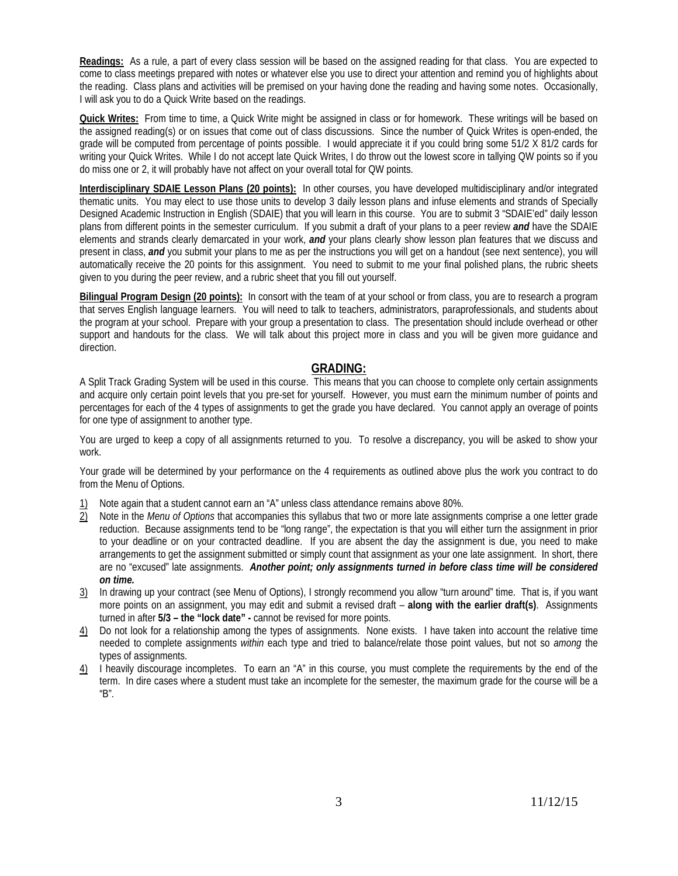**Readings:** As a rule, a part of every class session will be based on the assigned reading for that class. You are expected to come to class meetings prepared with notes or whatever else you use to direct your attention and remind you of highlights about the reading. Class plans and activities will be premised on your having done the reading and having some notes. Occasionally, I will ask you to do a Quick Write based on the readings.

**Quick Writes:** From time to time, a Quick Write might be assigned in class or for homework. These writings will be based on the assigned reading(s) or on issues that come out of class discussions. Since the number of Quick Writes is open-ended, the grade will be computed from percentage of points possible. I would appreciate it if you could bring some 51/2 X 81/2 cards for writing your Quick Writes. While I do not accept late Quick Writes, I do throw out the lowest score in tallying QW points so if you do miss one or 2, it will probably have not affect on your overall total for QW points.

**Interdisciplinary SDAIE Lesson Plans (20 points):** In other courses, you have developed multidisciplinary and/or integrated thematic units. You may elect to use those units to develop 3 daily lesson plans and infuse elements and strands of Specially Designed Academic Instruction in English (SDAIE) that you will learn in this course. You are to submit 3 "SDAIE'ed" daily lesson plans from different points in the semester curriculum. If you submit a draft of your plans to a peer review *and* have the SDAIE elements and strands clearly demarcated in your work, *and* your plans clearly show lesson plan features that we discuss and present in class, *and* you submit your plans to me as per the instructions you will get on a handout (see next sentence), you will automatically receive the 20 points for this assignment. You need to submit to me your final polished plans, the rubric sheets given to you during the peer review, and a rubric sheet that you fill out yourself.

**Bilingual Program Design (20 points):** In consort with the team of at your school or from class, you are to research a program that serves English language learners. You will need to talk to teachers, administrators, paraprofessionals, and students about the program at your school. Prepare with your group a presentation to class. The presentation should include overhead or other support and handouts for the class. We will talk about this project more in class and you will be given more guidance and direction.

#### **GRADING:**

A Split Track Grading System will be used in this course. This means that you can choose to complete only certain assignments and acquire only certain point levels that you pre-set for yourself. However, you must earn the minimum number of points and percentages for each of the 4 types of assignments to get the grade you have declared. You cannot apply an overage of points for one type of assignment to another type.

You are urged to keep a copy of all assignments returned to you. To resolve a discrepancy, you will be asked to show your work.

Your grade will be determined by your performance on the 4 requirements as outlined above plus the work you contract to do from the Menu of Options.

- 1) Note again that a student cannot earn an "A" unless class attendance remains above 80%.
- 2) Note in the *Menu of Options* that accompanies this syllabus that two or more late assignments comprise a one letter grade reduction. Because assignments tend to be "long range", the expectation is that you will either turn the assignment in prior to your deadline or on your contracted deadline. If you are absent the day the assignment is due, you need to make arrangements to get the assignment submitted or simply count that assignment as your one late assignment. In short, there are no "excused" late assignments. *Another point; only assignments turned in before class time will be considered on time.*
- 3) In drawing up your contract (see Menu of Options), I strongly recommend you allow "turn around" time. That is, if you want more points on an assignment, you may edit and submit a revised draft – **along with the earlier draft(s)**. Assignments turned in after **5/3 – the "lock date" -** cannot be revised for more points.
- 4) Do not look for a relationship among the types of assignments. None exists. I have taken into account the relative time needed to complete assignments *within* each type and tried to balance/relate those point values, but not so *among* the types of assignments.
- 4) I heavily discourage incompletes. To earn an "A" in this course, you must complete the requirements by the end of the term. In dire cases where a student must take an incomplete for the semester, the maximum grade for the course will be a "B".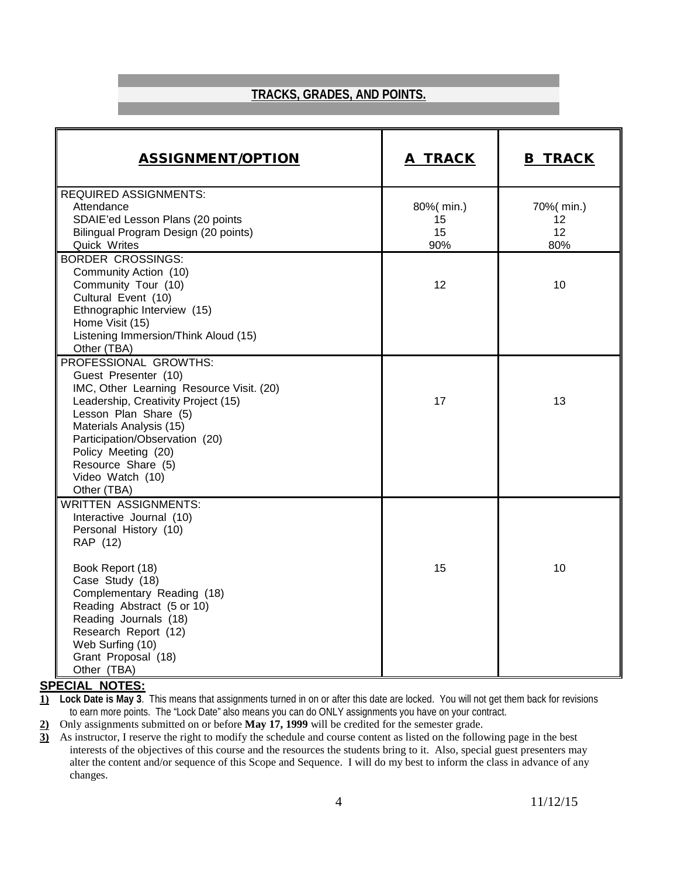## **TRACKS, GRADES, AND POINTS.**

| <b>ASSIGNMENT/OPTION</b>                   | A TRACK   | <b>B TRACK</b> |
|--------------------------------------------|-----------|----------------|
| <b>REQUIRED ASSIGNMENTS:</b>               |           |                |
| Attendance                                 | 80%(min.) | 70%( min.)     |
| SDAIE'ed Lesson Plans (20 points           | 15        | 12             |
| Bilingual Program Design (20 points)       | 15        | 12             |
| Quick Writes                               | 90%       | 80%            |
| <b>BORDER CROSSINGS:</b>                   |           |                |
| Community Action (10)                      | 12        | 10             |
| Community Tour (10)<br>Cultural Event (10) |           |                |
| Ethnographic Interview (15)                |           |                |
| Home Visit (15)                            |           |                |
| Listening Immersion/Think Aloud (15)       |           |                |
| Other (TBA)                                |           |                |
| PROFESSIONAL GROWTHS:                      |           |                |
| Guest Presenter (10)                       |           |                |
| IMC, Other Learning Resource Visit. (20)   |           |                |
| Leadership, Creativity Project (15)        | 17        | 13             |
| Lesson Plan Share (5)                      |           |                |
| Materials Analysis (15)                    |           |                |
| Participation/Observation (20)             |           |                |
| Policy Meeting (20)                        |           |                |
| Resource Share (5)                         |           |                |
| Video Watch (10)<br>Other (TBA)            |           |                |
| <b>WRITTEN ASSIGNMENTS:</b>                |           |                |
| Interactive Journal (10)                   |           |                |
| Personal History (10)                      |           |                |
| RAP (12)                                   |           |                |
|                                            |           |                |
| Book Report (18)                           | 15        | 10             |
| Case Study (18)                            |           |                |
| Complementary Reading (18)                 |           |                |
| Reading Abstract (5 or 10)                 |           |                |
| Reading Journals (18)                      |           |                |
| Research Report (12)                       |           |                |
| Web Surfing (10)                           |           |                |
| Grant Proposal (18)                        |           |                |
| Other (TBA)                                |           |                |

## **SPECIAL NOTES:**

**1) Lock Date is May 3**. This means that assignments turned in on or after this date are locked. You will not get them back for revisions to earn more points. The "Lock Date" also means you can do ONLY assignments you have on your contract.

**2)** Only assignments submitted on or before **May 17, 1999** will be credited for the semester grade.

**3)** As instructor, I reserve the right to modify the schedule and course content as listed on the following page in the best interests of the objectives of this course and the resources the students bring to it. Also, special guest presenters may alter the content and/or sequence of this Scope and Sequence. I will do my best to inform the class in advance of any changes.